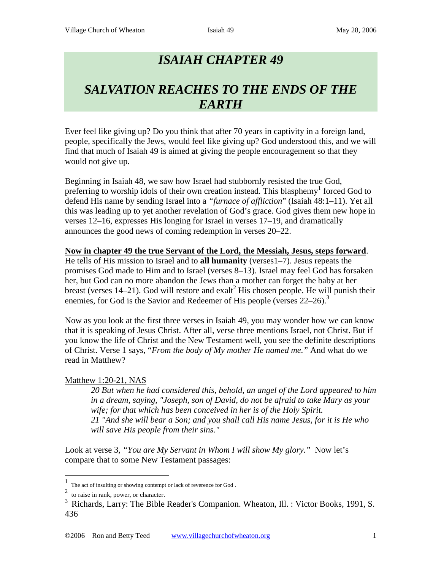# *ISAIAH CHAPTER 49*

# *SALVATION REACHES TO THE ENDS OF THE EARTH*

Ever feel like giving up? Do you think that after 70 years in captivity in a foreign land, people, specifically the Jews, would feel like giving up? God understood this, and we will find that much of Isaiah 49 is aimed at giving the people encouragement so that they would not give up.

Beginning in Isaiah 48, we saw how Israel had stubbornly resisted the true God, preferring to worship idols of their own creation instead. This blasphemy<sup>1</sup> forced God to defend His name by sending Israel into a *"furnace of affliction*" (Isaiah 48:1–11). Yet all this was leading up to yet another revelation of God's grace. God gives them new hope in verses 12–16, expresses His longing for Israel in verses 17–19, and dramatically announces the good news of coming redemption in verses 20–22.

#### **Now in chapter 49 the true Servant of the Lord, the Messiah, Jesus, steps forward**.

He tells of His mission to Israel and to **all humanity** (verses1–7). Jesus repeats the promises God made to Him and to Israel (verses 8–13). Israel may feel God has forsaken her, but God can no more abandon the Jews than a mother can forget the baby at her breast (verses 14–21). God will restore and exalt<sup>2</sup> His chosen people. He will punish their enemies, for God is the Savior and Redeemer of His people (verses  $22-26$ ).<sup>3</sup>

Now as you look at the first three verses in Isaiah 49, you may wonder how we can know that it is speaking of Jesus Christ. After all, verse three mentions Israel, not Christ. But if you know the life of Christ and the New Testament well, you see the definite descriptions of Christ. Verse 1 says, "*From the body of My mother He named me."* And what do we read in Matthew?

# Matthew 1:20-21, NAS

*20 But when he had considered this, behold, an angel of the Lord appeared to him in a dream, saying, "Joseph, son of David, do not be afraid to take Mary as your wife; for that which has been conceived in her is of the Holy Spirit. 21 "And she will bear a Son; and you shall call His name Jesus, for it is He who will save His people from their sins."*

Look at verse 3, "You are My Servant in Whom I will show My glory." Now let's compare that to some New Testament passages:

 <sup>1</sup> The act of insulting or showing contempt or lack of reverence for God .

<sup>&</sup>lt;sup>2</sup> to raise in rank, power, or character.

<sup>&</sup>lt;sup>3</sup> Richards, Larry: The Bible Reader's Companion. Wheaton, Ill. : Victor Books, 1991, S. 436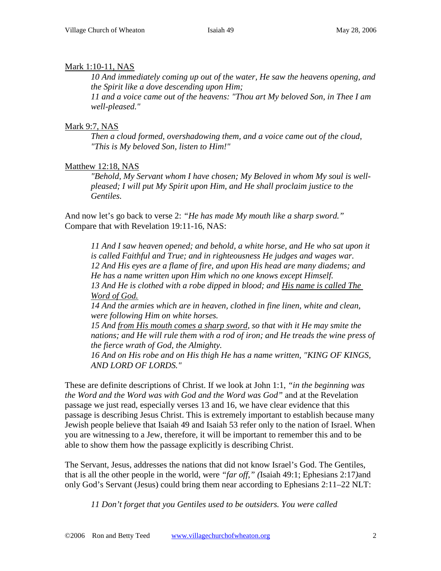# Mark 1:10-11, NAS

*10 And immediately coming up out of the water, He saw the heavens opening, and the Spirit like a dove descending upon Him;*

*11 and a voice came out of the heavens: "Thou art My beloved Son, in Thee I am well-pleased."*

# Mark 9:7, NAS

*Then a cloud formed, overshadowing them, and a voice came out of the cloud, "This is My beloved Son, listen to Him!"*

# Matthew 12:18, NAS

*"Behold, My Servant whom I have chosen; My Beloved in whom My soul is wellpleased; I will put My Spirit upon Him, and He shall proclaim justice to the Gentiles.* 

And now let's go back to verse 2: *"He has made My mouth like a sharp sword."* Compare that with Revelation 19:11-16, NAS:

*11 And I saw heaven opened; and behold, a white horse, and He who sat upon it is called Faithful and True; and in righteousness He judges and wages war. 12 And His eyes are a flame of fire, and upon His head are many diadems; and He has a name written upon Him which no one knows except Himself. 13 And He is clothed with a robe dipped in blood; and His name is called The Word of God.*

*14 And the armies which are in heaven, clothed in fine linen, white and clean, were following Him on white horses.*

*15 And from His mouth comes a sharp sword, so that with it He may smite the nations; and He will rule them with a rod of iron; and He treads the wine press of the fierce wrath of God, the Almighty.*

*16 And on His robe and on His thigh He has a name written, "KING OF KINGS, AND LORD OF LORDS."*

These are definite descriptions of Christ. If we look at John 1:1, *"in the beginning was the Word and the Word was with God and the Word was God"* and at the Revelation passage we just read, especially verses 13 and 16, we have clear evidence that this passage is describing Jesus Christ. This is extremely important to establish because many Jewish people believe that Isaiah 49 and Isaiah 53 refer only to the nation of Israel. When you are witnessing to a Jew, therefore, it will be important to remember this and to be able to show them how the passage explicitly is describing Christ.

The Servant, Jesus, addresses the nations that did not know Israel's God. The Gentiles, that is all the other people in the world, were *"far off," (*Isaiah 49:1; Ephesians 2:17*)*and only God's Servant (Jesus) could bring them near according to Ephesians 2:11–22 NLT:

*11 Don't forget that you Gentiles used to be outsiders. You were called*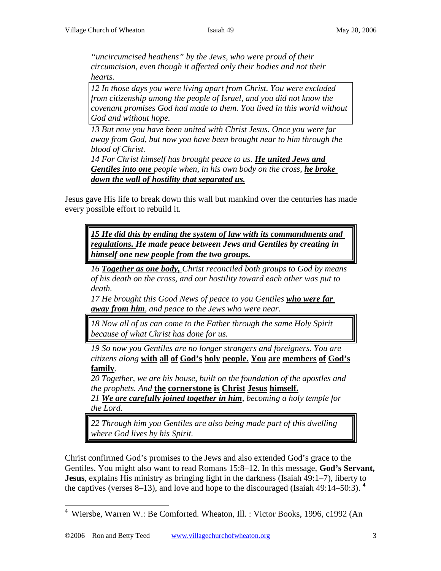*"uncircumcised heathens" by the Jews, who were proud of their circumcision, even though it affected only their bodies and not their hearts.*

*12 In those days you were living apart from Christ. You were excluded from citizenship among the people of Israel, and you did not know the covenant promises God had made to them. You lived in this world without God and without hope.*

*13 But now you have been united with Christ Jesus. Once you were far away from God, but now you have been brought near to him through the blood of Christ.* 

14 For Christ himself has brought peace to us. He united Jews and *Gentiles into one people when, in his own body on the cross, he broke down the wall of hostility that separated us.*

Jesus gave His life to break down this wall but mankind over the centuries has made every possible effort to rebuild it.

*15 He did this by ending the system of law with its commandments and regulations. He made peace between Jews and Gentiles by creating in himself one new people from the two groups.*

*16 Together as one body, Christ reconciled both groups to God by means of his death on the cross, and our hostility toward each other was put to death.* 

*17 He brought this Good News of peace to you Gentiles who were far away from him, and peace to the Jews who were near.*

*18 Now all of us can come to the Father through the same Holy Spirit because of what Christ has done for us.* 

*19 So now you Gentiles are no longer strangers and foreigners. You are citizens along* **with all of God's holy people. You are members of God's family***.*

*20 Together, we are his house, built on the foundation of the apostles and the prophets. And* **the cornerstone is Christ Jesus himself.**

*21 We are carefully joined together in him, becoming a holy temple for the Lord.*

*22 Through him you Gentiles are also being made part of this dwelling where God lives by his Spirit.*

Christ confirmed God's promises to the Jews and also extended God's grace to the Gentiles. You might also want to read Romans 15:8–12. In this message, **God's Servant, Jesus**, explains His ministry as bringing light in the darkness (Isaiah 49:1–7), liberty to the captives (verses 8–13), and love and hope to the discouraged (Isaiah 49:14–50:3). **<sup>4</sup>**

 <sup>4</sup> Wiersbe, Warren W.: Be Comforted. Wheaton, Ill. : Victor Books, 1996, c1992 (An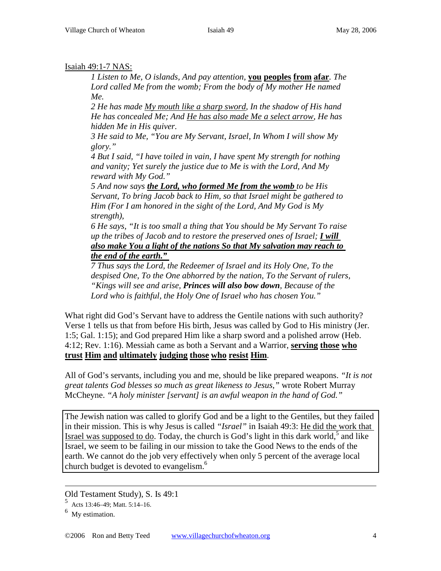#### Isaiah 49:1-7 NAS:

*1 Listen to Me, O islands, And pay attention,* **you peoples from afar***. The Lord called Me from the womb; From the body of My mother He named Me.* 

*2 He has made My mouth like a sharp sword, In the shadow of His hand He has concealed Me; And He has also made Me a select arrow, He has hidden Me in His quiver.* 

*3 He said to Me, "You are My Servant, Israel, In Whom I will show My glory."* 

*4 But I said, "I have toiled in vain, I have spent My strength for nothing and vanity; Yet surely the justice due to Me is with the Lord, And My reward with My God."* 

*5 And now says the Lord, who formed Me from the womb to be His Servant, To bring Jacob back to Him, so that Israel might be gathered to Him (For I am honored in the sight of the Lord, And My God is My strength),* 

*6 He says, "It is too small a thing that You should be My Servant To raise up the tribes of Jacob and to restore the preserved ones of Israel; I will also make You a light of the nations So that My salvation may reach to the end of the earth."* 

*7 Thus says the Lord, the Redeemer of Israel and its Holy One, To the despised One, To the One abhorred by the nation, To the Servant of rulers, "Kings will see and arise, Princes will also bow down, Because of the Lord who is faithful, the Holy One of Israel who has chosen You."* 

What right did God's Servant have to address the Gentile nations with such authority? Verse 1 tells us that from before His birth, Jesus was called by God to His ministry (Jer. 1:5; Gal. 1:15); and God prepared Him like a sharp sword and a polished arrow (Heb. 4:12; Rev. 1:16). Messiah came as both a Servant and a Warrior, **serving those who trust Him and ultimately judging those who resist Him**.

All of God's servants, including you and me, should be like prepared weapons. *"It is not great talents God blesses so much as great likeness to Jesus,"* wrote Robert Murray McCheyne. *"A holy minister [servant] is an awful weapon in the hand of God."*

The Jewish nation was called to glorify God and be a light to the Gentiles, but they failed in their mission. This is why Jesus is called *"Israel"* in Isaiah 49:3: He did the work that Israel was supposed to do. Today, the church is God's light in this dark world, $\delta$  and like Israel, we seem to be failing in our mission to take the Good News to the ends of the earth. We cannot do the job very effectively when only 5 percent of the average local church budget is devoted to evangelism.<sup>6</sup>

-

Old Testament Study), S. Is 49:1

<sup>5</sup> Acts 13:46–49; Matt. 5:14–16.

 $6$  My estimation.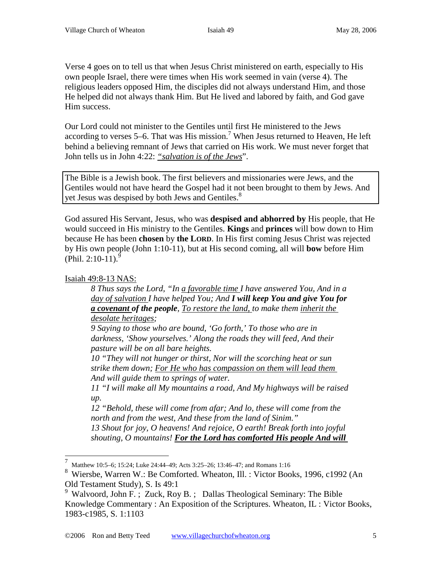Verse 4 goes on to tell us that when Jesus Christ ministered on earth, especially to His own people Israel, there were times when His work seemed in vain (verse 4). The religious leaders opposed Him, the disciples did not always understand Him, and those He helped did not always thank Him. But He lived and labored by faith, and God gave Him success.

Our Lord could not minister to the Gentiles until first He ministered to the Jews according to verses 5–6. That was His mission.<sup>7</sup> When Jesus returned to Heaven, He left behind a believing remnant of Jews that carried on His work. We must never forget that John tells us in John 4:22: *"salvation is of the Jews*".

The Bible is a Jewish book. The first believers and missionaries were Jews, and the Gentiles would not have heard the Gospel had it not been brought to them by Jews. And yet Jesus was despised by both Jews and Gentiles.<sup>8</sup>

God assured His Servant, Jesus, who was **despised and abhorred by** His people, that He would succeed in His ministry to the Gentiles. **Kings** and **princes** will bow down to Him because He has been **chosen** by **the LORD**. In His first coming Jesus Christ was rejected by His own people (John 1:10-11), but at His second coming, all will **bow** before Him (Phil. 2:10-11).<sup>9</sup>

# Isaiah 49:8-13 NAS:

*8 Thus says the Lord, "In a favorable time I have answered You, And in a day of salvation I have helped You; And I will keep You and give You for a covenant of the people, To restore the land, to make them inherit the desolate heritages;* 

*9 Saying to those who are bound, 'Go forth,' To those who are in darkness, 'Show yourselves.' Along the roads they will feed, And their pasture will be on all bare heights.* 

*10 "They will not hunger or thirst, Nor will the scorching heat or sun strike them down; For He who has compassion on them will lead them And will guide them to springs of water.* 

*11 "I will make all My mountains a road, And My highways will be raised up.* 

*12 "Behold, these will come from afar; And lo, these will come from the north and from the west, And these from the land of Sinim." 13 Shout for joy, O heavens! And rejoice, O earth! Break forth into joyful* 

*shouting, O mountains! For the Lord has comforted His people And will* 

 <sup>7</sup> Matthew 10:5–6; 15:24; Luke 24:44–49; Acts 3:25–26; 13:46–47; and Romans 1:16

<sup>8</sup> Wiersbe, Warren W.: Be Comforted. Wheaton, Ill. : Victor Books, 1996, c1992 (An Old Testament Study), S. Is 49:1

<sup>&</sup>lt;sup>9</sup> Walvoord, John F.; Zuck, Roy B.; Dallas Theological Seminary: The Bible Knowledge Commentary : An Exposition of the Scriptures. Wheaton, IL : Victor Books, 1983-c1985, S. 1:1103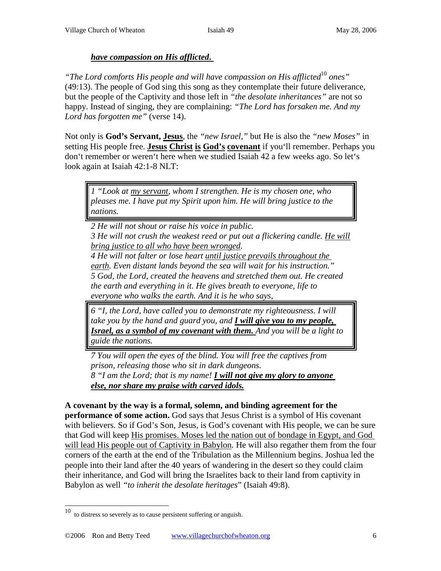#### *have compassion on His afflicted***.**

*"The Lord comforts His people and will have compassion on His afflicted*<sup>10</sup> *ones"*  (49:13). The people of God sing this song as they contemplate their future deliverance, but the people of the Captivity and those left in *"the desolate inheritances"* are not so happy. Instead of singing, they are complaining: *"The Lord has forsaken me. And my Lord has forgotten me"* (verse 14).

Not only is **God's Servant, Jesus**, the *"new Israel,"* but He is also the *"new Moses"* in setting His people free. **Jesus Christ is God's covenant** if you'll remember. Perhaps you don't remember or weren't here when we studied Isaiah 42 a few weeks ago. So let's look again at Isaiah 42:1-8 NLT:

*1 "Look at my servant, whom I strengthen. He is my chosen one, who pleases me. I have put my Spirit upon him. He will bring justice to the nations.* 

*2 He will not shout or raise his voice in public.* 

*3 He will not crush the weakest reed or put out a flickering candle. He will bring justice to all who have been wronged.*

*4 He will not falter or lose heart until justice prevails throughout the earth. Even distant lands beyond the sea will wait for his instruction." 5 God, the Lord, created the heavens and stretched them out. He created the earth and everything in it. He gives breath to everyone, life to everyone who walks the earth. And it is he who says,* 

*6 "I, the Lord, have called you to demonstrate my righteousness. I will take you by the hand and guard you, and I will give you to my people, Israel, as a symbol of my covenant with them. And you will be a light to guide the nations.* 

*7 You will open the eyes of the blind. You will free the captives from prison, releasing those who sit in dark dungeons. 8 "I am the Lord; that is my name! I will not give my glory to anyone* 

*else, nor share my praise with carved idols.*

**A covenant by the way is a formal, solemn, and binding agreement for the performance of some action.** God says that Jesus Christ is a symbol of His covenant with believers. So if God's Son, Jesus, is God's covenant with His people, we can be sure that God will keep His promises. Moses led the nation out of bondage in Egypt, and God will lead His people out of Captivity in Babylon. He will also regather them from the four corners of the earth at the end of the Tribulation as the Millennium begins. Joshua led the people into their land after the 40 years of wandering in the desert so they could claim their inheritance, and God will bring the Israelites back to their land from captivity in Babylon as well *"to inherit the desolate heritages*" (Isaiah 49:8).

 <sup>10</sup> to distress so severely as to cause persistent suffering or anguish.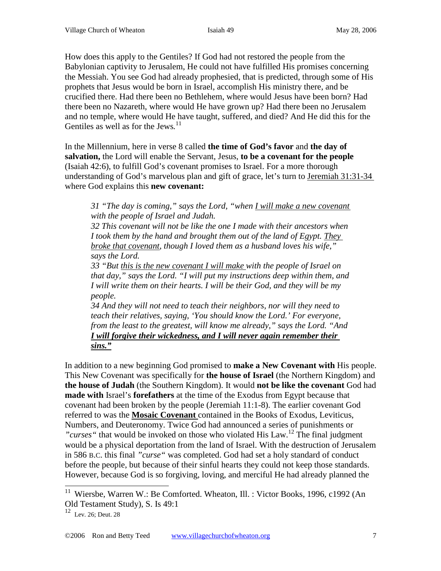How does this apply to the Gentiles? If God had not restored the people from the Babylonian captivity to Jerusalem, He could not have fulfilled His promises concerning the Messiah. You see God had already prophesied, that is predicted, through some of His prophets that Jesus would be born in Israel, accomplish His ministry there, and be crucified there. Had there been no Bethlehem, where would Jesus have been born? Had there been no Nazareth, where would He have grown up? Had there been no Jerusalem and no temple, where would He have taught, suffered, and died? And He did this for the Gentiles as well as for the Jews*.* 11

In the Millennium, here in verse 8 called **the time of God's favor** and **the day of salvation,** the Lord will enable the Servant, Jesus, **to be a covenant for the people** (Isaiah 42:6), to fulfill God's covenant promises to Israel. For a more thorough understanding of God's marvelous plan and gift of grace, let's turn to Jeremiah 31:31-34 where God explains this **new covenant:**

*31 "The day is coming," says the Lord, "when I will make a new covenant with the people of Israel and Judah.*

*32 This covenant will not be like the one I made with their ancestors when I took them by the hand and brought them out of the land of Egypt. They broke that covenant, though I loved them as a husband loves his wife," says the Lord.* 

*33 "But this is the new covenant I will make with the people of Israel on that day," says the Lord. "I will put my instructions deep within them, and I will write them on their hearts. I will be their God, and they will be my people.*

*34 And they will not need to teach their neighbors, nor will they need to teach their relatives, saying, 'You should know the Lord.' For everyone, from the least to the greatest, will know me already," says the Lord. "And I will forgive their wickedness, and I will never again remember their sins."*

In addition to a new beginning God promised to **make a New Covenant with** His people. This New Covenant was specifically for **the house of Israel** (the Northern Kingdom) and **the house of Judah** (the Southern Kingdom). It would **not be like the covenant** God had **made with** Israel's **forefathers** at the time of the Exodus from Egypt because that covenant had been broken by the people (Jeremiah 11:1-8). The earlier covenant God referred to was the **Mosaic Covenant** contained in the Books of Exodus, Leviticus, Numbers, and Deuteronomy. Twice God had announced a series of punishments or *"curses"* that would be invoked on those who violated His Law.<sup>12</sup> The final judgment would be a physical deportation from the land of Israel. With the destruction of Jerusalem in 586 B.C. this final *"curse"* was completed. God had set a holy standard of conduct before the people, but because of their sinful hearts they could not keep those standards. However, because God is so forgiving, loving, and merciful He had already planned the

<sup>&</sup>lt;sup>11</sup> Wiersbe, Warren W.: Be Comforted. Wheaton, Ill. : Victor Books, 1996, c1992 (An Old Testament Study), S. Is 49:1

 $12$  Lev. 26; Deut. 28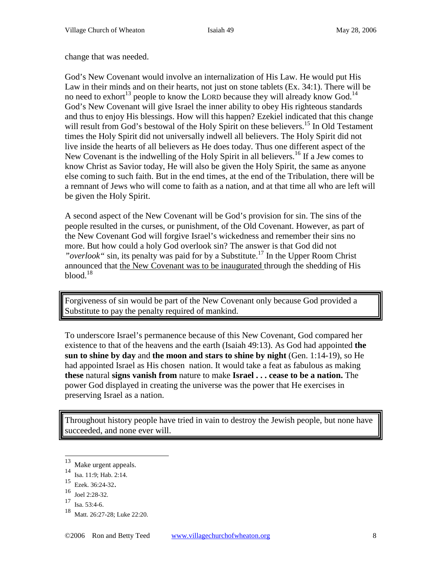change that was needed.

God's New Covenant would involve an internalization of His Law. He would put His Law in their minds and on their hearts, not just on stone tablets (Ex. 34:1). There will be no need to exhort<sup>13</sup> people to know the LORD because they will already know God.<sup>14</sup> God's New Covenant will give Israel the inner ability to obey His righteous standards and thus to enjoy His blessings. How will this happen? Ezekiel indicated that this change will result from God's bestowal of the Holy Spirit on these believers.<sup>15</sup> In Old Testament times the Holy Spirit did not universally indwell all believers. The Holy Spirit did not live inside the hearts of all believers as He does today. Thus one different aspect of the New Covenant is the indwelling of the Holy Spirit in all believers.<sup>16</sup> If a Jew comes to know Christ as Savior today, He will also be given the Holy Spirit, the same as anyone else coming to such faith. But in the end times, at the end of the Tribulation, there will be a remnant of Jews who will come to faith as a nation, and at that time all who are left will be given the Holy Spirit.

A second aspect of the New Covenant will be God's provision for sin. The sins of the people resulted in the curses, or punishment, of the Old Covenant. However, as part of the New Covenant God will forgive Israel's wickedness and remember their sins no more. But how could a holy God overlook sin? The answer is that God did not *"overlook"* sin, its penalty was paid for by a Substitute.<sup>17</sup> In the Upper Room Christ announced that the New Covenant was to be inaugurated through the shedding of His  $b$ lood.<sup>18</sup>

Forgiveness of sin would be part of the New Covenant only because God provided a Substitute to pay the penalty required of mankind.

To underscore Israel's permanence because of this New Covenant, God compared her existence to that of the heavens and the earth (Isaiah 49:13). As God had appointed **the sun to shine by day** and **the moon and stars to shine by night** (Gen. 1:14-19), so He had appointed Israel as His chosen nation. It would take a feat as fabulous as making **these** natural **signs vanish from** nature to make **Israel . . . cease to be a nation.** The power God displayed in creating the universe was the power that He exercises in preserving Israel as a nation.

Throughout history people have tried in vain to destroy the Jewish people, but none have succeeded, and none ever will.

 <sup>13</sup> Make urgent appeals.

<sup>14</sup> Isa. 11:9; Hab. 2:14.

 $\frac{15}{16}$  Ezek. 36:24-32.<br>
16 Joel 2:28-32.

Isa. 53:4-6.

Matt. 26:27-28; Luke 22:20.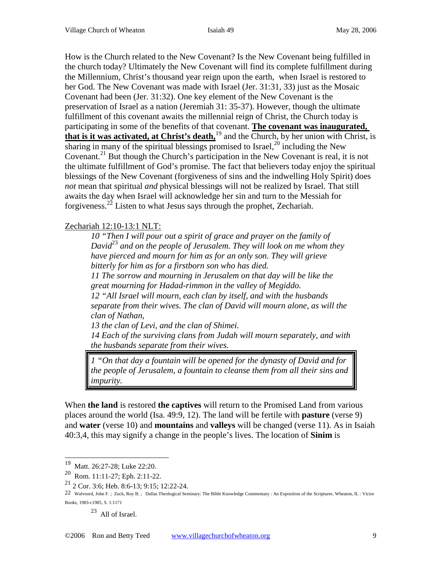How is the Church related to the New Covenant? Is the New Covenant being fulfilled in the church today? Ultimately the New Covenant will find its complete fulfillment during the Millennium, Christ's thousand year reign upon the earth, when Israel is restored to her God. The New Covenant was made with Israel (Jer. 31:31, 33) just as the Mosaic Covenant had been (Jer. 31:32). One key element of the New Covenant is the preservation of Israel as a nation (Jeremiah 31: 35-37). However, though the ultimate fulfillment of this covenant awaits the millennial reign of Christ, the Church today is participating in some of the benefits of that covenant. **The covenant was inaugurated, that is it was activated, at Christ's death,**<sup>19</sup> and the Church, by her union with Christ, is sharing in many of the spiritual blessings promised to Israel,<sup>20</sup> including the New Covenant.<sup>21</sup> But though the Church's participation in the New Covenant is real, it is not the ultimate fulfillment of God's promise. The fact that believers today enjoy the spiritual blessings of the New Covenant (forgiveness of sins and the indwelling Holy Spirit) does *not* mean that spiritual *and* physical blessings will not be realized by Israel. That still awaits the day when Israel will acknowledge her sin and turn to the Messiah for forgiveness.<sup>22</sup> Listen to what Jesus says through the prophet, Zechariah.

#### Zechariah 12:10-13:1 NLT:

*10 "Then I will pour out a spirit of grace and prayer on the family of David*<sup>23</sup> *and on the people of Jerusalem. They will look on me whom they have pierced and mourn for him as for an only son. They will grieve bitterly for him as for a firstborn son who has died. 11 The sorrow and mourning in Jerusalem on that day will be like the great mourning for Hadad-rimmon in the valley of Megiddo. 12 "All Israel will mourn, each clan by itself, and with the husbands separate from their wives. The clan of David will mourn alone, as will the clan of Nathan, 13 the clan of Levi, and the clan of Shimei.*

*14 Each of the surviving clans from Judah will mourn separately, and with the husbands separate from their wives.* 

*1 "On that day a fountain will be opened for the dynasty of David and for the people of Jerusalem, a fountain to cleanse them from all their sins and impurity.*

When **the land** is restored **the captives** will return to the Promised Land from various places around the world (Isa. 49:9, 12). The land will be fertile with **pasture** (verse 9) and **water** (verse 10) and **mountains** and **valleys** will be changed (verse 11). As in Isaiah 40:3,4, this may signify a change in the people's lives. The location of **Sinim** is

23 All of Israel.

 <sup>19</sup> Matt. 26:27-28; Luke 22:20.

<sup>20</sup> Rom. 11:11-27; Eph. 2:11-22.

<sup>21</sup> 2 Cor. 3:6; Heb. 8:6-13; 9:15; 12:22-24.

<sup>22</sup> Walvoord, John F.; Zuck, Roy B.; Dallas Theological Seminary: The Bible Knowledge Commentary : An Exposition of the Scriptures. Wheaton, IL : Victor Books, 1983-c1985, S. 1:1171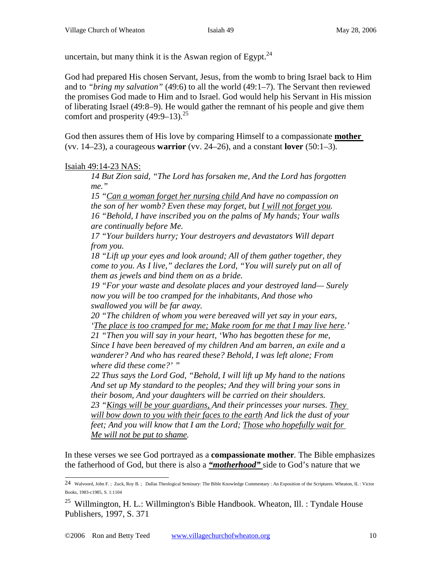uncertain, but many think it is the Aswan region of Egypt.<sup>24</sup>

God had prepared His chosen Servant, Jesus, from the womb to bring Israel back to Him and to *"bring my salvation"* (49:6) to all the world (49:1–7). The Servant then reviewed the promises God made to Him and to Israel. God would help his Servant in His mission of liberating Israel (49:8–9). He would gather the remnant of his people and give them comfort and prosperity  $(49:9-13)^{25}$ 

God then assures them of His love by comparing Himself to a compassionate **mother**  (vv. 14–23), a courageous **warrior** (vv. 24–26), and a constant **lover** (50:1–3).

Isaiah 49:14-23 NAS:

*14 But Zion said, "The Lord has forsaken me, And the Lord has forgotten me."* 

*15 "Can a woman forget her nursing child And have no compassion on the son of her womb? Even these may forget, but I will not forget you. 16 "Behold, I have inscribed you on the palms of My hands; Your walls are continually before Me.* 

*17 "Your builders hurry; Your destroyers and devastators Will depart from you.* 

*18 "Lift up your eyes and look around; All of them gather together, they come to you. As I live," declares the Lord, "You will surely put on all of them as jewels and bind them on as a bride.* 

*19 "For your waste and desolate places and your destroyed land— Surely now you will be too cramped for the inhabitants, And those who swallowed you will be far away.* 

*20 "The children of whom you were bereaved will yet say in your ears, 'The place is too cramped for me; Make room for me that I may live here.'* 

*21 "Then you will say in your heart, 'Who has begotten these for me, Since I have been bereaved of my children And am barren, an exile and a wanderer? And who has reared these? Behold, I was left alone; From where did these come?' "* 

*22 Thus says the Lord God, "Behold, I will lift up My hand to the nations And set up My standard to the peoples; And they will bring your sons in their bosom, And your daughters will be carried on their shoulders. 23 "Kings will be your guardians, And their princesses your nurses. They will bow down to you with their faces to the earth And lick the dust of your feet; And you will know that I am the Lord; Those who hopefully wait for Me will not be put to shame.* 

In these verses we see God portrayed as a **compassionate mother***.* The Bible emphasizes the fatherhood of God, but there is also a *"motherhood"* side to God's nature that we

 <sup>24</sup> Walvoord, John F. ; Zuck, Roy B. ; Dallas Theological Seminary: The Bible Knowledge Commentary : An Exposition of the Scriptures. Wheaton, IL : Victor Books, 1983-c1985, S. 1:1104

<sup>&</sup>lt;sup>25</sup> Willmington, H. L.: Willmington's Bible Handbook. Wheaton, Ill. : Tyndale House Publishers, 1997, S. 371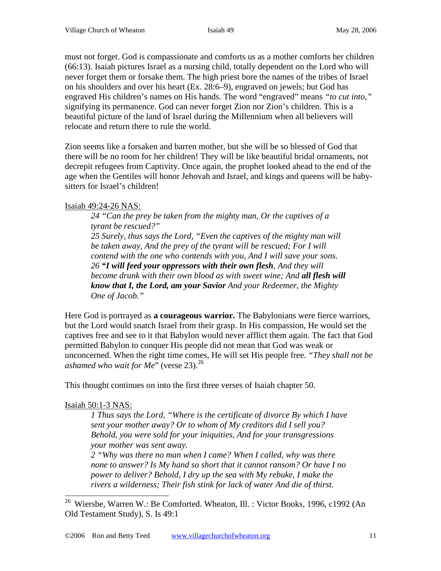must not forget. God is compassionate and comforts us as a mother comforts her children (66:13). Isaiah pictures Israel as a nursing child, totally dependent on the Lord who will never forget them or forsake them. The high priest bore the names of the tribes of Israel on his shoulders and over his heart (Ex. 28:6–9), engraved on jewels; but God has engraved His children's names on His hands. The word "engraved" means *"to cut into,"*  signifying its permanence. God can never forget Zion nor Zion's children. This is a beautiful picture of the land of Israel during the Millennium when all believers will relocate and return there to rule the world.

Zion seems like a forsaken and barren mother, but she will be so blessed of God that there will be no room for her children! They will be like beautiful bridal ornaments, not decrepit refugees from Captivity. Once again, the prophet looked ahead to the end of the age when the Gentiles will honor Jehovah and Israel, and kings and queens will be babysitters for Israel's children!

# Isaiah 49:24-26 NAS:

*24 "Can the prey be taken from the mighty man, Or the captives of a tyrant be rescued?"* 

*25 Surely, thus says the Lord, "Even the captives of the mighty man will be taken away, And the prey of the tyrant will be rescued; For I will contend with the one who contends with you, And I will save your sons. 26 "I will feed your oppressors with their own flesh, And they will become drunk with their own blood as with sweet wine; And all flesh will know that I, the Lord, am your Savior And your Redeemer, the Mighty One of Jacob."* 

Here God is portrayed as **a courageous warrior.** The Babylonians were fierce warriors, but the Lord would snatch Israel from their grasp. In His compassion, He would set the captives free and see to it that Babylon would never afflict them again. The fact that God permitted Babylon to conquer His people did not mean that God was weak or unconcerned. When the right time comes, He will set His people free. *"They shall not be ashamed who wait for Me*" (verse 23).<sup>26</sup>

This thought continues on into the first three verses of Isaiah chapter 50.

# Isaiah 50:1-3 NAS:

*1 Thus says the Lord, "Where is the certificate of divorce By which I have sent your mother away? Or to whom of My creditors did I sell you? Behold, you were sold for your iniquities, And for your transgressions your mother was sent away.* 

*2 "Why was there no man when I came? When I called, why was there none to answer? Is My hand so short that it cannot ransom? Or have I no power to deliver? Behold, I dry up the sea with My rebuke, I make the rivers a wilderness; Their fish stink for lack of water And die of thirst.* 

 <sup>26</sup> Wiersbe, Warren W.: Be Comforted. Wheaton, Ill. : Victor Books, 1996, c1992 (An Old Testament Study), S. Is 49:1